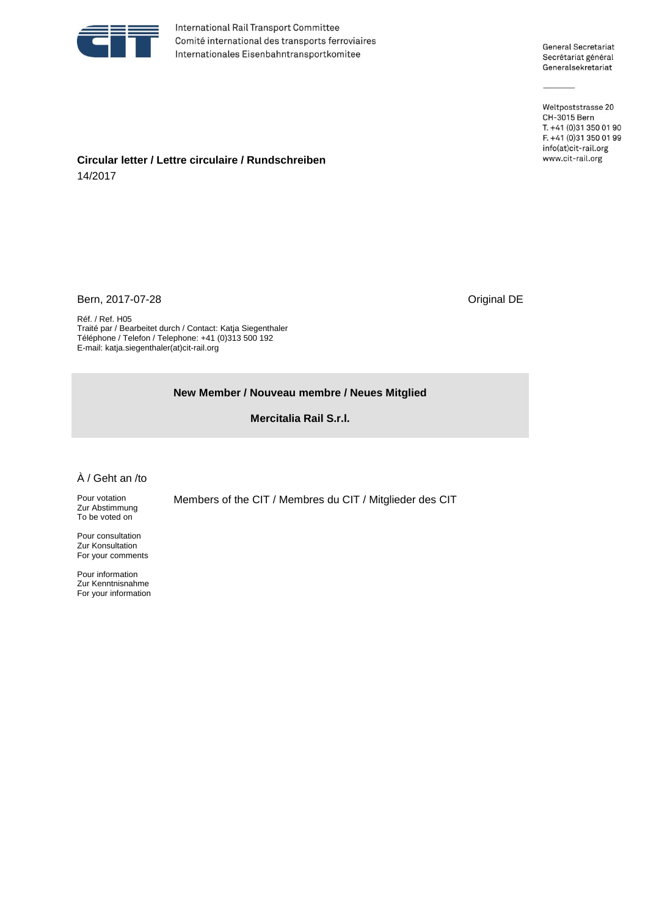

International Rail Transport Committee Comité international des transports ferroviaires Internationales Eisenbahntransportkomitee

General Secretariat Secrétariat général Generalsekretariat

Weltpoststrasse 20 CH-3015 Bern T. +41 (0)31 350 01 90 F. +41 (0)31 350 01 99 info(at)cit-rail.org www.cit-rail.org

## **Circular letter / Lettre circulaire / Rundschreiben** 14/2017

Bern, 2017-07-28 Criginal DE

Réf. / Ref. H05 Traité par / Bearbeitet durch / Contact: Katja Siegenthaler Téléphone / Telefon / Telephone: +41 (0)313 500 192 E-mail: katja.siegenthaler(at)cit-rail.org

## **New Member / Nouveau membre / Neues Mitglied**

**Mercitalia Rail S.r.l.**

## À / Geht an /to

Pour votation Zur Abstimmung To be voted on

Pour consultation Zur Konsultation For your comments

Pour information Zur Kenntnisnahme For your information Members of the CIT / Membres du CIT / Mitglieder des CIT